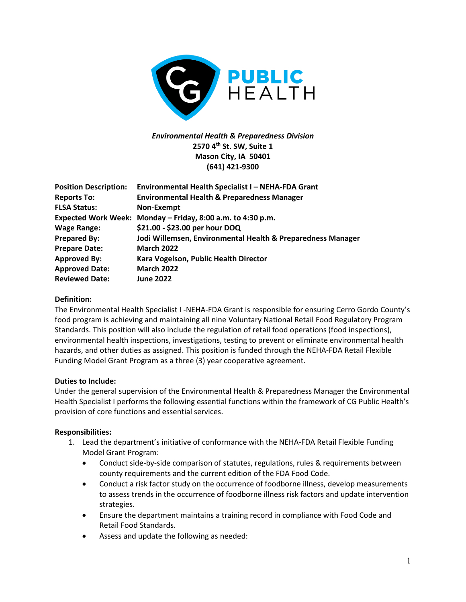

# *Environmental Health & Preparedness Division* **2570 4th St. SW, Suite 1 Mason City, IA 50401 (641) 421-9300**

| <b>Position Description:</b> | Environmental Health Specialist I - NEHA-FDA Grant          |
|------------------------------|-------------------------------------------------------------|
| <b>Reports To:</b>           | <b>Environmental Health &amp; Preparedness Manager</b>      |
| <b>FLSA Status:</b>          | Non-Exempt                                                  |
|                              | Expected Work Week: Monday - Friday, 8:00 a.m. to 4:30 p.m. |
| <b>Wage Range:</b>           | \$21.00 - \$23.00 per hour DOQ                              |
| <b>Prepared By:</b>          | Jodi Willemsen, Environmental Health & Preparedness Manager |
| <b>Prepare Date:</b>         | <b>March 2022</b>                                           |
| <b>Approved By:</b>          | Kara Vogelson, Public Health Director                       |
| <b>Approved Date:</b>        | <b>March 2022</b>                                           |
| <b>Reviewed Date:</b>        | <b>June 2022</b>                                            |

### **Definition:**

The Environmental Health Specialist I -NEHA-FDA Grant is responsible for ensuring Cerro Gordo County's food program is achieving and maintaining all nine Voluntary National Retail Food Regulatory Program Standards. This position will also include the regulation of retail food operations (food inspections), environmental health inspections, investigations, testing to prevent or eliminate environmental health hazards, and other duties as assigned. This position is funded through the NEHA-FDA Retail Flexible Funding Model Grant Program as a three (3) year cooperative agreement.

#### **Duties to Include:**

Under the general supervision of the Environmental Health & Preparedness Manager the Environmental Health Specialist I performs the following essential functions within the framework of CG Public Health's provision of core functions and essential services.

#### **Responsibilities:**

- 1. Lead the department's initiative of conformance with the NEHA-FDA Retail Flexible Funding Model Grant Program:
	- Conduct side-by-side comparison of statutes, regulations, rules & requirements between county requirements and the current edition of the FDA Food Code.
	- Conduct a risk factor study on the occurrence of foodborne illness, develop measurements to assess trends in the occurrence of foodborne illness risk factors and update intervention strategies.
	- Ensure the department maintains a training record in compliance with Food Code and Retail Food Standards.
	- Assess and update the following as needed: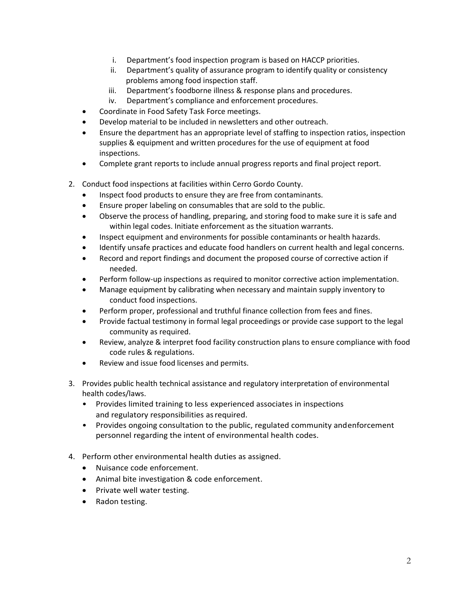- i. Department's food inspection program is based on HACCP priorities.
- ii. Department's quality of assurance program to identify quality or consistency problems among food inspection staff.
- iii. Department's foodborne illness & response plans and procedures.
- iv. Department's compliance and enforcement procedures.
- Coordinate in Food Safety Task Force meetings.
- Develop material to be included in newsletters and other outreach.
- Ensure the department has an appropriate level of staffing to inspection ratios, inspection supplies & equipment and written procedures for the use of equipment at food inspections.
- Complete grant reports to include annual progress reports and final project report.
- 2. Conduct food inspections at facilities within Cerro Gordo County.
	- Inspect food products to ensure they are free from contaminants.
	- Ensure proper labeling on consumables that are sold to the public.
	- Observe the process of handling, preparing, and storing food to make sure it is safe and within legal codes. Initiate enforcement as the situation warrants.
	- Inspect equipment and environments for possible contaminants or health hazards.
	- Identify unsafe practices and educate food handlers on current health and legal concerns.
	- Record and report findings and document the proposed course of corrective action if needed.
	- Perform follow-up inspections as required to monitor corrective action implementation.
	- Manage equipment by calibrating when necessary and maintain supply inventory to conduct food inspections.
	- Perform proper, professional and truthful finance collection from fees and fines.
	- Provide factual testimony in formal legal proceedings or provide case support to the legal community as required.
	- Review, analyze & interpret food facility construction plans to ensure compliance with food code rules & regulations.
	- Review and issue food licenses and permits.
- 3. Provides public health technical assistance and regulatory interpretation of environmental health codes/laws.
	- Provides limited training to less experienced associates in inspections and regulatory responsibilities asrequired.
	- Provides ongoing consultation to the public, regulated community andenforcement personnel regarding the intent of environmental health codes.
- 4. Perform other environmental health duties as assigned.
	- Nuisance code enforcement.
	- Animal bite investigation & code enforcement.
	- Private well water testing.
	- Radon testing.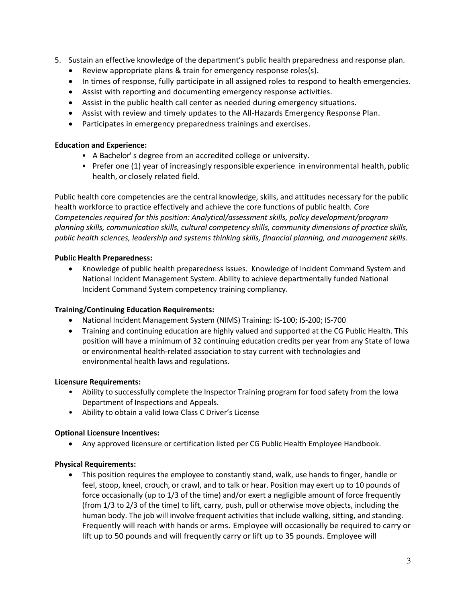- 5. Sustain an effective knowledge of the department's public health preparedness and response plan.
	- Review appropriate plans & train for emergency response roles(s).
	- In times of response, fully participate in all assigned roles to respond to health emergencies.
	- Assist with reporting and documenting emergency response activities.
	- Assist in the public health call center as needed during emergency situations.
	- Assist with review and timely updates to the All-Hazards Emergency Response Plan.
	- Participates in emergency preparedness trainings and exercises.

#### **Education and Experience:**

- A Bachelor' s degree from an accredited college or university.
- Prefer one (1) year of increasingly responsible experience in environmental health, public health, or closely related field.

Public health core competencies are the central knowledge, skills, and attitudes necessary for the public health workforce to practice effectively and achieve the core functions of public health*. Core Competencies required for this position: Analytical/assessment skills, policy development/program planning skills, communication skills, cultural competency skills, community dimensions of practice skills, public health sciences, leadership and systems thinking skills, financial planning, and management skills*.

#### **Public Health Preparedness:**

• Knowledge of public health preparedness issues. Knowledge of Incident Command System and National Incident Management System. Ability to achieve departmentally funded National Incident Command System competency training compliancy.

#### **Training/Continuing Education Requirements:**

- National Incident Management System (NIMS) Training: IS-100; IS-200; IS-700
- Training and continuing education are highly valued and supported at the CG Public Health. This position will have a minimum of 32 continuing education credits per year from any State of Iowa or environmental health-related association to stay current with technologies and environmental health laws and regulations.

#### **Licensure Requirements:**

- Ability to successfully complete the Inspector Training program for food safety from the Iowa Department of Inspections and Appeals.
- Ability to obtain a valid Iowa Class C Driver's License

#### **Optional Licensure Incentives:**

• Any approved licensure or certification listed per CG Public Health Employee Handbook.

#### **Physical Requirements:**

• This position requires the employee to constantly stand, walk, use hands to finger, handle or feel, stoop, kneel, crouch, or crawl, and to talk or hear. Position may exert up to 10 pounds of force occasionally (up to 1/3 of the time) and/or exert a negligible amount of force frequently (from 1/3 to 2/3 of the time) to lift, carry, push, pull or otherwise move objects, including the human body. The job will involve frequent activities that include walking, sitting, and standing. Frequently will reach with hands or arms. Employee will occasionally be required to carry or lift up to 50 pounds and will frequently carry or lift up to 35 pounds. Employee will